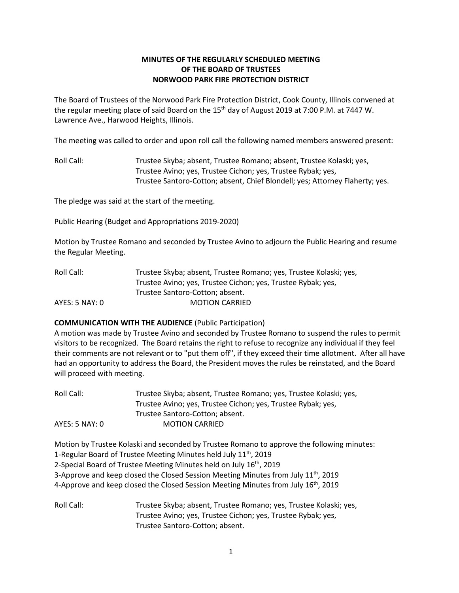# **MINUTES OF THE REGULARLY SCHEDULED MEETING OF THE BOARD OF TRUSTEES NORWOOD PARK FIRE PROTECTION DISTRICT**

The Board of Trustees of the Norwood Park Fire Protection District, Cook County, Illinois convened at the regular meeting place of said Board on the  $15<sup>th</sup>$  day of August 2019 at 7:00 P.M. at 7447 W. Lawrence Ave., Harwood Heights, Illinois.

The meeting was called to order and upon roll call the following named members answered present:

Roll Call: Trustee Skyba; absent, Trustee Romano; absent, Trustee Kolaski; yes, Trustee Avino; yes, Trustee Cichon; yes, Trustee Rybak; yes, Trustee Santoro-Cotton; absent, Chief Blondell; yes; Attorney Flaherty; yes.

The pledge was said at the start of the meeting.

Public Hearing (Budget and Appropriations 2019-2020)

Motion by Trustee Romano and seconded by Trustee Avino to adjourn the Public Hearing and resume the Regular Meeting.

| Roll Call:     | Trustee Skyba; absent, Trustee Romano; yes, Trustee Kolaski; yes, |
|----------------|-------------------------------------------------------------------|
|                | Trustee Avino; yes, Trustee Cichon; yes, Trustee Rybak; yes,      |
|                | Trustee Santoro-Cotton; absent.                                   |
| AYES: 5 NAY: 0 | <b>MOTION CARRIED</b>                                             |

### **COMMUNICATION WITH THE AUDIENCE** (Public Participation)

A motion was made by Trustee Avino and seconded by Trustee Romano to suspend the rules to permit visitors to be recognized. The Board retains the right to refuse to recognize any individual if they feel their comments are not relevant or to "put them off", if they exceed their time allotment. After all have had an opportunity to address the Board, the President moves the rules be reinstated, and the Board will proceed with meeting.

| Roll Call:     | Trustee Skyba; absent, Trustee Romano; yes, Trustee Kolaski; yes, |
|----------------|-------------------------------------------------------------------|
|                | Trustee Avino; yes, Trustee Cichon; yes, Trustee Rybak; yes,      |
|                | Trustee Santoro-Cotton; absent.                                   |
| AYES: 5 NAY: 0 | <b>MOTION CARRIED</b>                                             |

Motion by Trustee Kolaski and seconded by Trustee Romano to approve the following minutes: 1-Regular Board of Trustee Meeting Minutes held July 11<sup>th</sup>, 2019 2-Special Board of Trustee Meeting Minutes held on July 16<sup>th</sup>, 2019 3-Approve and keep closed the Closed Session Meeting Minutes from July  $11^{th}$ , 2019 4-Approve and keep closed the Closed Session Meeting Minutes from July  $16^{th}$ , 2019

Roll Call: Trustee Skyba; absent, Trustee Romano; yes, Trustee Kolaski; yes, Trustee Avino; yes, Trustee Cichon; yes, Trustee Rybak; yes, Trustee Santoro-Cotton; absent.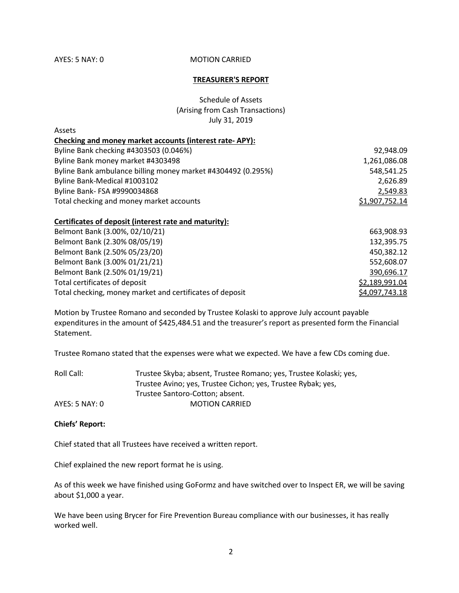**Accotc** 

### AYES: 5 NAY: 0 MOTION CARRIED

#### **TREASURER'S REPORT**

Schedule of Assets (Arising from Cash Transactions) July 31, 2019

| ASSELS                                                       |                |
|--------------------------------------------------------------|----------------|
| Checking and money market accounts (interest rate-APY):      |                |
| Byline Bank checking #4303503 (0.046%)                       | 92,948.09      |
| Byline Bank money market #4303498                            | 1,261,086.08   |
| Byline Bank ambulance billing money market #4304492 (0.295%) | 548,541.25     |
| Byline Bank-Medical #1003102                                 | 2,626.89       |
| Byline Bank- FSA #9990034868                                 | 2,549.83       |
| Total checking and money market accounts                     | \$1,907,752.14 |

### **Certificates of deposit (interest rate and maturity):**

| Belmont Bank (3.00%, 02/10/21)                           | 663,908.93     |
|----------------------------------------------------------|----------------|
| Belmont Bank (2.30% 08/05/19)                            | 132,395.75     |
| Belmont Bank (2.50% 05/23/20)                            | 450,382.12     |
| Belmont Bank (3.00% 01/21/21)                            | 552,608.07     |
| Belmont Bank (2.50% 01/19/21)                            | 390,696.17     |
| Total certificates of deposit                            | \$2,189,991.04 |
| Total checking, money market and certificates of deposit | \$4,097,743.18 |

Motion by Trustee Romano and seconded by Trustee Kolaski to approve July account payable expenditures in the amount of \$425,484.51 and the treasurer's report as presented form the Financial Statement.

Trustee Romano stated that the expenses were what we expected. We have a few CDs coming due.

| Roll Call:     | Trustee Skyba; absent, Trustee Romano; yes, Trustee Kolaski; yes, |
|----------------|-------------------------------------------------------------------|
|                | Trustee Avino; yes, Trustee Cichon; yes, Trustee Rybak; yes,      |
|                | Trustee Santoro-Cotton: absent.                                   |
| AYES: 5 NAY: 0 | <b>MOTION CARRIED</b>                                             |

#### **Chiefs' Report:**

Chief stated that all Trustees have received a written report.

Chief explained the new report format he is using.

As of this week we have finished using GoFormz and have switched over to Inspect ER, we will be saving about \$1,000 a year.

We have been using Brycer for Fire Prevention Bureau compliance with our businesses, it has really worked well.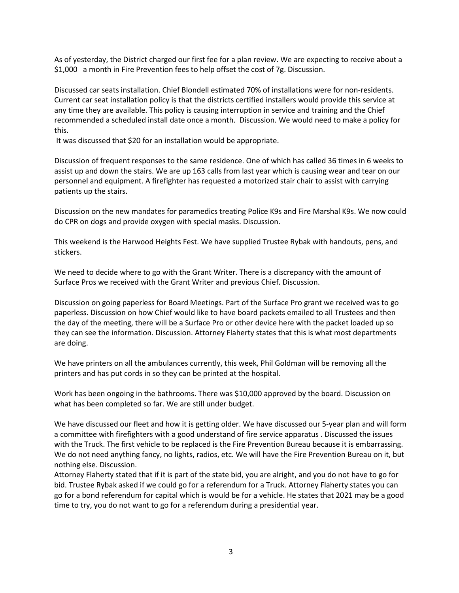As of yesterday, the District charged our first fee for a plan review. We are expecting to receive about a \$1,000 a month in Fire Prevention fees to help offset the cost of 7g. Discussion.

Discussed car seats installation. Chief Blondell estimated 70% of installations were for non-residents. Current car seat installation policy is that the districts certified installers would provide this service at any time they are available. This policy is causing interruption in service and training and the Chief recommended a scheduled install date once a month. Discussion. We would need to make a policy for this.

It was discussed that \$20 for an installation would be appropriate.

Discussion of frequent responses to the same residence. One of which has called 36 times in 6 weeks to assist up and down the stairs. We are up 163 calls from last year which is causing wear and tear on our personnel and equipment. A firefighter has requested a motorized stair chair to assist with carrying patients up the stairs.

Discussion on the new mandates for paramedics treating Police K9s and Fire Marshal K9s. We now could do CPR on dogs and provide oxygen with special masks. Discussion.

This weekend is the Harwood Heights Fest. We have supplied Trustee Rybak with handouts, pens, and stickers.

We need to decide where to go with the Grant Writer. There is a discrepancy with the amount of Surface Pros we received with the Grant Writer and previous Chief. Discussion.

Discussion on going paperless for Board Meetings. Part of the Surface Pro grant we received was to go paperless. Discussion on how Chief would like to have board packets emailed to all Trustees and then the day of the meeting, there will be a Surface Pro or other device here with the packet loaded up so they can see the information. Discussion. Attorney Flaherty states that this is what most departments are doing.

We have printers on all the ambulances currently, this week, Phil Goldman will be removing all the printers and has put cords in so they can be printed at the hospital.

Work has been ongoing in the bathrooms. There was \$10,000 approved by the board. Discussion on what has been completed so far. We are still under budget.

We have discussed our fleet and how it is getting older. We have discussed our 5-year plan and will form a committee with firefighters with a good understand of fire service apparatus . Discussed the issues with the Truck. The first vehicle to be replaced is the Fire Prevention Bureau because it is embarrassing. We do not need anything fancy, no lights, radios, etc. We will have the Fire Prevention Bureau on it, but nothing else. Discussion.

Attorney Flaherty stated that if it is part of the state bid, you are alright, and you do not have to go for bid. Trustee Rybak asked if we could go for a referendum for a Truck. Attorney Flaherty states you can go for a bond referendum for capital which is would be for a vehicle. He states that 2021 may be a good time to try, you do not want to go for a referendum during a presidential year.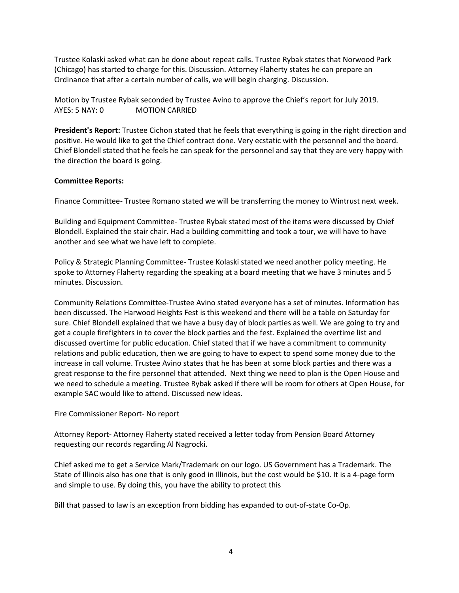Trustee Kolaski asked what can be done about repeat calls. Trustee Rybak states that Norwood Park (Chicago) has started to charge for this. Discussion. Attorney Flaherty states he can prepare an Ordinance that after a certain number of calls, we will begin charging. Discussion.

Motion by Trustee Rybak seconded by Trustee Avino to approve the Chief's report for July 2019. AYES: 5 NAY: 0 MOTION CARRIED

**President's Report:** Trustee Cichon stated that he feels that everything is going in the right direction and positive. He would like to get the Chief contract done. Very ecstatic with the personnel and the board. Chief Blondell stated that he feels he can speak for the personnel and say that they are very happy with the direction the board is going.

# **Committee Reports:**

Finance Committee- Trustee Romano stated we will be transferring the money to Wintrust next week.

Building and Equipment Committee- Trustee Rybak stated most of the items were discussed by Chief Blondell. Explained the stair chair. Had a building committing and took a tour, we will have to have another and see what we have left to complete.

Policy & Strategic Planning Committee- Trustee Kolaski stated we need another policy meeting. He spoke to Attorney Flaherty regarding the speaking at a board meeting that we have 3 minutes and 5 minutes. Discussion.

Community Relations Committee-Trustee Avino stated everyone has a set of minutes. Information has been discussed. The Harwood Heights Fest is this weekend and there will be a table on Saturday for sure. Chief Blondell explained that we have a busy day of block parties as well. We are going to try and get a couple firefighters in to cover the block parties and the fest. Explained the overtime list and discussed overtime for public education. Chief stated that if we have a commitment to community relations and public education, then we are going to have to expect to spend some money due to the increase in call volume. Trustee Avino states that he has been at some block parties and there was a great response to the fire personnel that attended. Next thing we need to plan is the Open House and we need to schedule a meeting. Trustee Rybak asked if there will be room for others at Open House, for example SAC would like to attend. Discussed new ideas.

### Fire Commissioner Report- No report

Attorney Report- Attorney Flaherty stated received a letter today from Pension Board Attorney requesting our records regarding Al Nagrocki.

Chief asked me to get a Service Mark/Trademark on our logo. US Government has a Trademark. The State of Illinois also has one that is only good in Illinois, but the cost would be \$10. It is a 4-page form and simple to use. By doing this, you have the ability to protect this

Bill that passed to law is an exception from bidding has expanded to out-of-state Co-Op.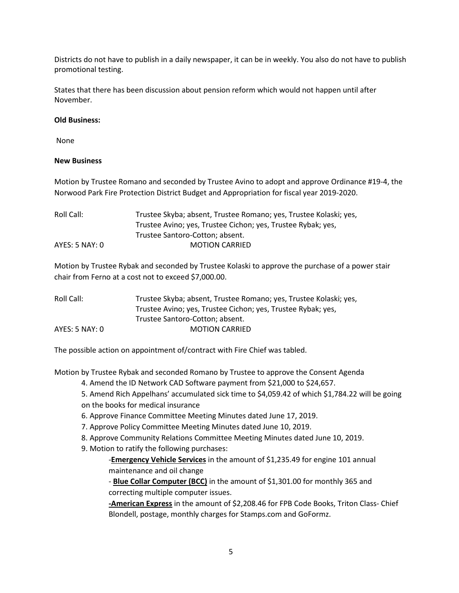Districts do not have to publish in a daily newspaper, it can be in weekly. You also do not have to publish promotional testing.

States that there has been discussion about pension reform which would not happen until after November.

## **Old Business:**

None

# **New Business**

Motion by Trustee Romano and seconded by Trustee Avino to adopt and approve Ordinance #19-4, the Norwood Park Fire Protection District Budget and Appropriation for fiscal year 2019-2020.

| Trustee Skyba; absent, Trustee Romano; yes, Trustee Kolaski; yes, |
|-------------------------------------------------------------------|
| Trustee Avino; yes, Trustee Cichon; yes, Trustee Rybak; yes,      |
| Trustee Santoro-Cotton: absent.                                   |
| <b>MOTION CARRIED</b>                                             |
|                                                                   |

Motion by Trustee Rybak and seconded by Trustee Kolaski to approve the purchase of a power stair chair from Ferno at a cost not to exceed \$7,000.00.

| Roll Call:     | Trustee Skyba; absent, Trustee Romano; yes, Trustee Kolaski; yes, |
|----------------|-------------------------------------------------------------------|
|                | Trustee Avino; yes, Trustee Cichon; yes, Trustee Rybak; yes,      |
|                | Trustee Santoro-Cotton: absent.                                   |
| AYES: 5 NAY: 0 | <b>MOTION CARRIED</b>                                             |

The possible action on appointment of/contract with Fire Chief was tabled.

Motion by Trustee Rybak and seconded Romano by Trustee to approve the Consent Agenda

4. Amend the ID Network CAD Software payment from \$21,000 to \$24,657.

5. Amend Rich Appelhans' accumulated sick time to \$4,059.42 of which \$1,784.22 will be going on the books for medical insurance

- 6. Approve Finance Committee Meeting Minutes dated June 17, 2019.
- 7. Approve Policy Committee Meeting Minutes dated June 10, 2019.
- 8. Approve Community Relations Committee Meeting Minutes dated June 10, 2019.
- 9. Motion to ratify the following purchases:

-**Emergency Vehicle Services** in the amount of \$1,235.49 for engine 101 annual maintenance and oil change

- **Blue Collar Computer (BCC)** in the amount of \$1,301.00 for monthly 365 and correcting multiple computer issues.

**-American Express** in the amount of \$2,208.46 for FPB Code Books, Triton Class- Chief Blondell, postage, monthly charges for Stamps.com and GoFormz.